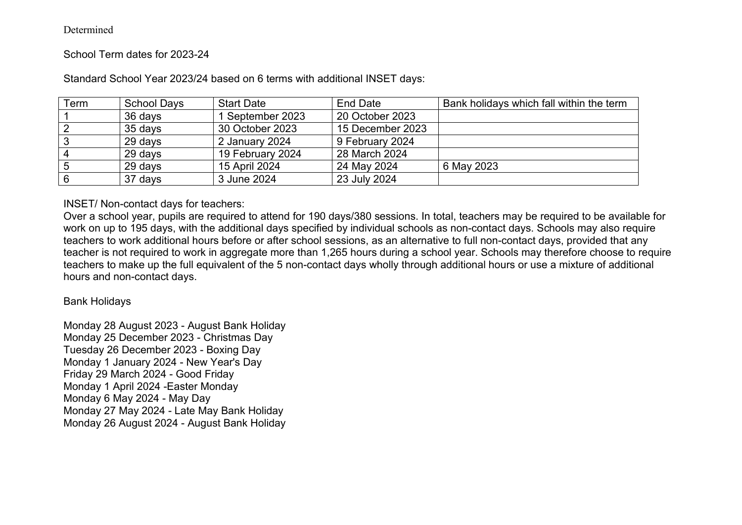#### Determined

# School Term dates for 2023-24

| Term | <b>School Days</b> | <b>Start Date</b> | End Date         | Bank holidays which fall within the term |
|------|--------------------|-------------------|------------------|------------------------------------------|
|      | 36 days            | 1 September 2023  | 20 October 2023  |                                          |
|      | 35 days            | 30 October 2023   | 15 December 2023 |                                          |
|      | 29 days            | 2 January 2024    | 9 February 2024  |                                          |
|      | 29 days            | 19 February 2024  | 28 March 2024    |                                          |
|      | 29 days            | 15 April 2024     | 24 May 2024      | 6 May 2023                               |
|      | 37 days            | 3 June 2024       | 23 July 2024     |                                          |

Standard School Year 2023/24 based on 6 terms with additional INSET days:

# INSET/ Non-contact days for teachers:

Over a school year, pupils are required to attend for 190 days/380 sessions. In total, teachers may be required to be available for work on up to 195 days, with the additional days specified by individual schools as non-contact days. Schools may also require teachers to work additional hours before or after school sessions, as an alternative to full non-contact days, provided that any teacher is not required to work in aggregate more than 1,265 hours during a school year. Schools may therefore choose to require teachers to make up the full equivalent of the 5 non-contact days wholly through additional hours or use a mixture of additional hours and non-contact days.

### Bank Holidays

Monday 28 August 2023 - August Bank Holiday Monday 25 December 2023 - Christmas Day Tuesday 26 December 2023 - Boxing Day Monday 1 January 2024 - New Year's Day Friday 29 March 2024 - Good Friday Monday 1 April 2024 -Easter Monday Monday 6 May 2024 - May Day Monday 27 May 2024 - Late May Bank Holiday Monday 26 August 2024 - August Bank Holiday